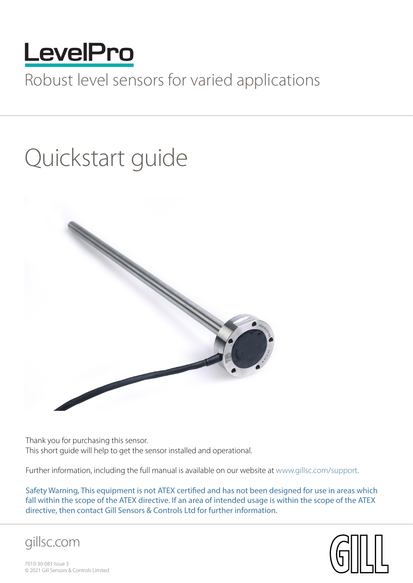

## Robust level sensors for varied applications

# Quickstart guide



Thank you for purchasing this sensor. This short guide will help to get the sensor installed and operational.

Further information, including the full manual is available on our website at [www.gillsc.com/support](http://www.gillsc.com/support).

Safety Warning, This equipment is not ATEX certified and has not been designed for use in areas which fall within the scope of the ATEX directive. If an area of intended usage is within the scope of the ATEX directive, then contact Gill Sensors & Controls Ltd for further information.





7010-30-083 Issue 3 © 2021 Gill Sensors & Controls Limited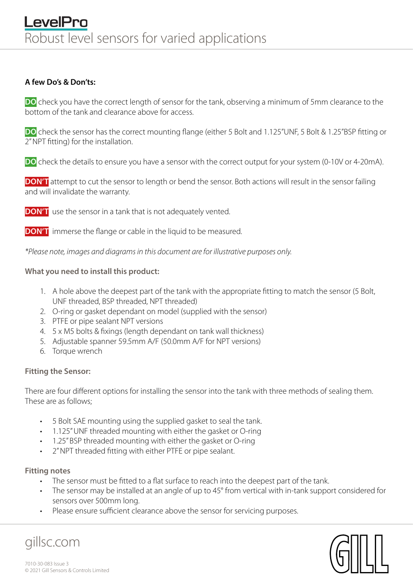#### **A few Do's & Don'ts:**

**DO** check you have the correct length of sensor for the tank, observing a minimum of 5mm clearance to the bottom of the tank and clearance above for access.

**DO** check the sensor has the correct mounting flange (either 5 Bolt and 1.125"UNF, 5 Bolt & 1.25"BSP fitting or 2" NPT fitting) for the installation.

**DO** check the details to ensure you have a sensor with the correct output for your system (0-10V or 4-20mA).

**DON'T** attempt to cut the sensor to length or bend the sensor. Both actions will result in the sensor failing and will invalidate the warranty.

**DON'T** use the sensor in a tank that is not adequately vented.

**DON'T** immerse the flange or cable in the liquid to be measured.

*\*Please note, images and diagrams in this document are for illustrative purposes only.*

#### **What you need to install this product:**

- 1. A hole above the deepest part of the tank with the appropriate fitting to match the sensor (5 Bolt, UNF threaded, BSP threaded, NPT threaded)
- 2. O-ring or gasket dependant on model (supplied with the sensor)
- 3. PTFE or pipe sealant NPT versions
- 4. 5 x M5 bolts & fixings (length dependant on tank wall thickness)
- 5. Adjustable spanner 59.5mm A/F (50.0mm A/F for NPT versions)
- 6. Torque wrench

#### **Fitting the Sensor:**

There are four different options for installing the sensor into the tank with three methods of sealing them. These are as follows;

- 5 Bolt SAE mounting using the supplied gasket to seal the tank.
- 1.125" UNF threaded mounting with either the gasket or O-ring
- 1.25" BSP threaded mounting with either the gasket or O-ring
- 2" NPT threaded fitting with either PTFE or pipe sealant.

#### **Fitting notes**

gillsc.com

- The sensor must be fitted to a flat surface to reach into the deepest part of the tank.
- The sensor may be installed at an angle of up to 45° from vertical with in-tank support considered for sensors over 500mm long.
- Please ensure sufficient clearance above the sensor for servicing purposes.

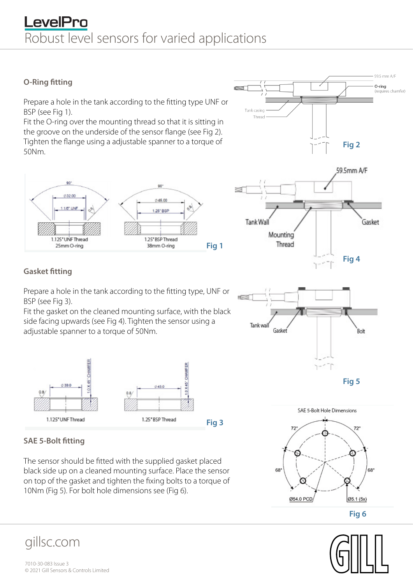## LevelPro Robust level sensors for varied applications

#### **O-Ring fitting**

Prepare a hole in the tank according to the fitting type UNF or BSP (see Fig 1).

Fit the O-ring over the mounting thread so that it is sitting in the groove on the underside of the sensor flange (see Fig 2). Tighten the flange using a adjustable spanner to a torque of 50Nm.



#### **Gasket fitting**

Prepare a hole in the tank according to the fitting type, UNF or BSP (see Fig 3).

Fit the gasket on the cleaned mounting surface, with the black side facing upwards (see Fig 4). Tighten the sensor using a adjustable spanner to a torque of 50Nm.



#### **SAE 5-Bolt fitting**

The sensor should be fitted with the supplied gasket placed black side up on a cleaned mounting surface. Place the sensor on top of the gasket and tighten the fixing bolts to a torque of 10Nm (Fig 5). For bolt hole dimensions see (Fig 6).

## gillsc.com





**Fig 6**